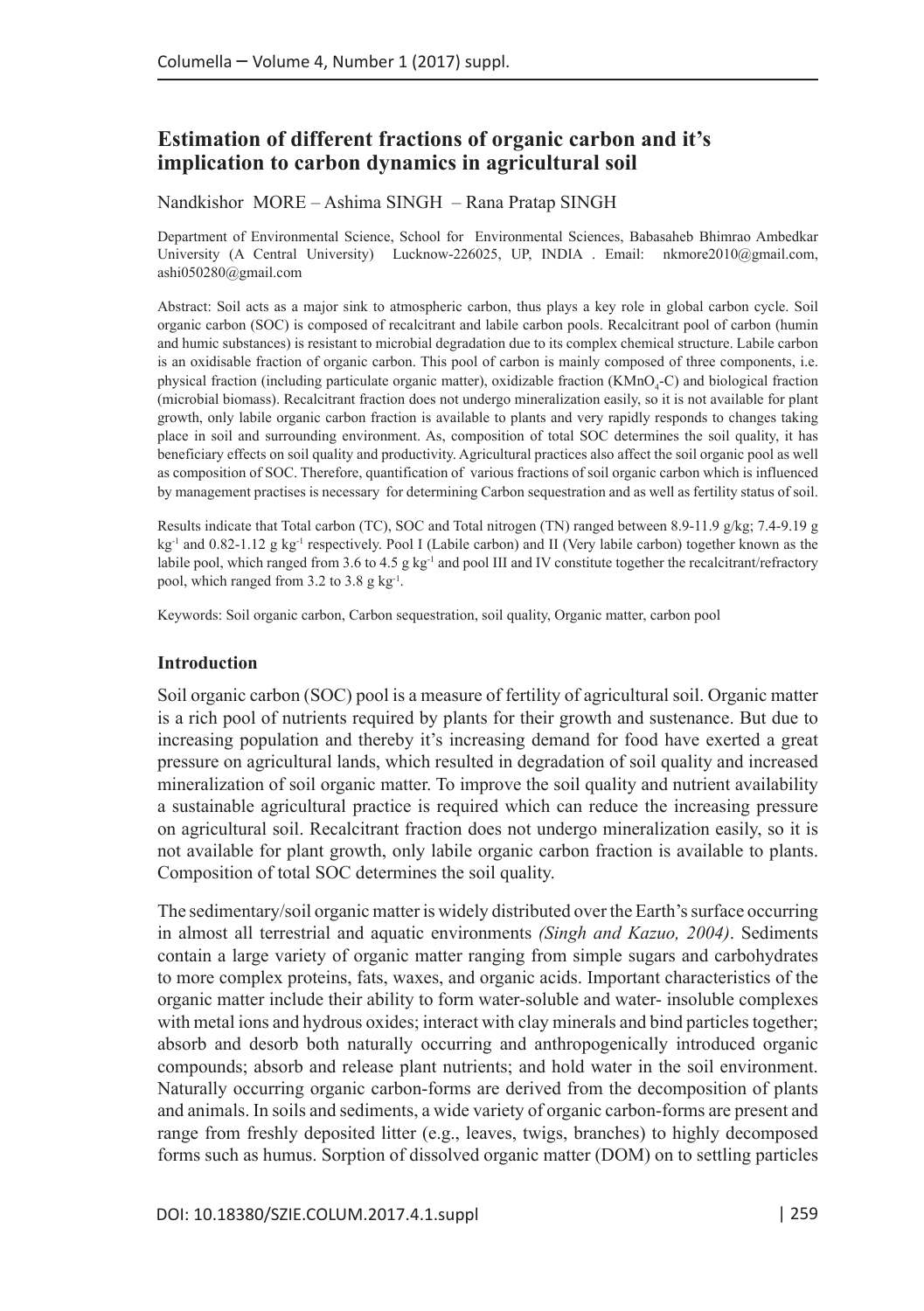# **Estimation of different fractions of organic carbon and it's implication to carbon dynamics in agricultural soil**

Nandkishor MORE – Ashima SINGH – Rana Pratap SINGH

Department of Environmental Science, School for Environmental Sciences, Babasaheb Bhimrao Ambedkar University (A Central University) Lucknow-226025, UP, INDIA . Email: [nkmore2010@gmail.com](mailto:nkmore2010@gmail.com), [ashi050280@gmail.com](mailto:ashi050280@gmail.com)

Abstract: Soil acts as a major sink to atmospheric carbon, thus plays a key role in global carbon cycle. Soil organic carbon (SOC) is composed of recalcitrant and labile carbon pools. Recalcitrant pool of carbon (humin and humic substances) is resistant to microbial degradation due to its complex chemical structure. Labile carbon is an oxidisable fraction of organic carbon. This pool of carbon is mainly composed of three components, i.e. physical fraction (including particulate organic matter), oxidizable fraction (KMnO<sub>4</sub>-C) and biological fraction (microbial biomass). Recalcitrant fraction does not undergo mineralization easily, so it is not available for plant growth, only labile organic carbon fraction is available to plants and very rapidly responds to changes taking place in soil and surrounding environment. As, composition of total SOC determines the soil quality, it has beneficiary effects on soil quality and productivity. Agricultural practices also affect the soil organic pool as well as composition of SOC. Therefore, quantification of various fractions of soil organic carbon which is influenced by management practises is necessary for determining Carbon sequestration and as well as fertility status of soil.

Results indicate that Total carbon (TC), SOC and Total nitrogen (TN) ranged between 8.9-11.9 g/kg; 7.4-9.19 g kg<sup>-1</sup> and 0.82-1.12 g kg<sup>-1</sup> respectively. Pool I (Labile carbon) and II (Very labile carbon) together known as the labile pool, which ranged from 3.6 to 4.5 g kg<sup>-1</sup> and pool III and IV constitute together the recalcitrant/refractory pool, which ranged from 3.2 to 3.8 g kg-1.

Keywords: Soil organic carbon, Carbon sequestration, soil quality, Organic matter, carbon pool

#### **Introduction**

Soil organic carbon (SOC) pool is a measure of fertility of agricultural soil. Organic matter is a rich pool of nutrients required by plants for their growth and sustenance. But due to increasing population and thereby it's increasing demand for food have exerted a great pressure on agricultural lands, which resulted in degradation of soil quality and increased mineralization of soil organic matter. To improve the soil quality and nutrient availability a sustainable agricultural practice is required which can reduce the increasing pressure on agricultural soil. Recalcitrant fraction does not undergo mineralization easily, so it is not available for plant growth, only labile organic carbon fraction is available to plants. Composition of total SOC determines the soil quality.

The sedimentary/soil organic matter is widely distributed over the Earth's surface occurring in almost all terrestrial and aquatic environments *(Singh and Kazuo, 2004)*. Sediments contain a large variety of organic matter ranging from simple sugars and carbohydrates to more complex proteins, fats, waxes, and organic acids. Important characteristics of the organic matter include their ability to form water-soluble and water- insoluble complexes with metal ions and hydrous oxides; interact with clay minerals and bind particles together; absorb and desorb both naturally occurring and anthropogenically introduced organic compounds; absorb and release plant nutrients; and hold water in the soil environment. Naturally occurring organic carbon-forms are derived from the decomposition of plants and animals. In soils and sediments, a wide variety of organic carbon-forms are present and range from freshly deposited litter (e.g., leaves, twigs, branches) to highly decomposed forms such as humus. Sorption of dissolved organic matter (DOM) on to settling particles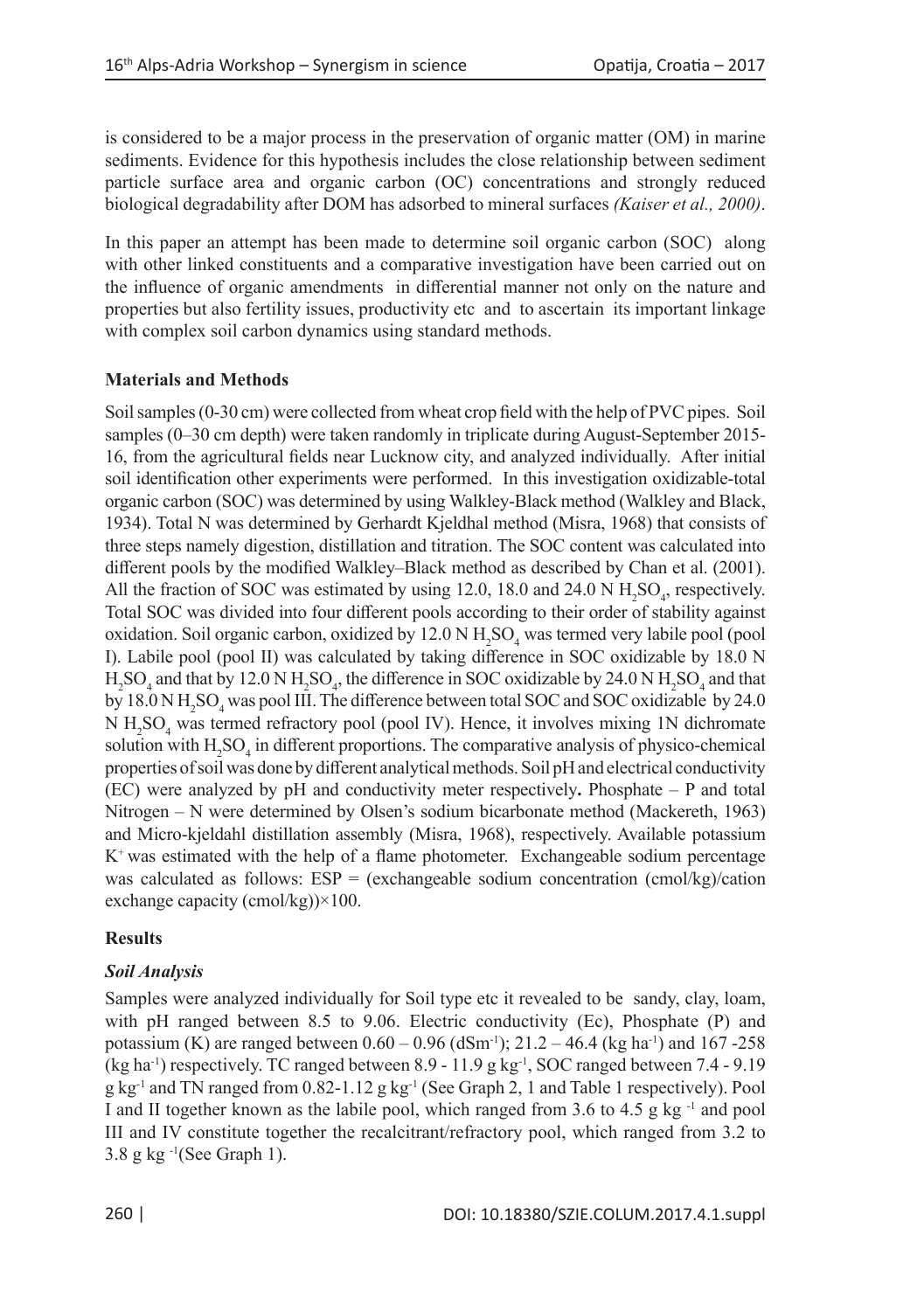is considered to be a major process in the preservation of organic matter (OM) in marine sediments. Evidence for this hypothesis includes the close relationship between sediment particle surface area and organic carbon (OC) concentrations and strongly reduced biological degradability after DOM has adsorbed to mineral surfaces *(Kaiser et al., 2000)*.

In this paper an attempt has been made to determine soil organic carbon (SOC) along with other linked constituents and a comparative investigation have been carried out on the influence of organic amendments in differential manner not only on the nature and properties but also fertility issues, productivity etc and to ascertain its important linkage with complex soil carbon dynamics using standard methods.

### **Materials and Methods**

Soil samples (0-30 cm) were collected from wheat crop field with the help of PVC pipes. Soil samples (0–30 cm depth) were taken randomly in triplicate during August-September 2015- 16, from the agricultural fields near Lucknow city, and analyzed individually. After initial soil identification other experiments were performed. In this investigation oxidizable-total organic carbon (SOC) was determined by using Walkley-Black method (Walkley and Black, 1934). Total N was determined by Gerhardt Kjeldhal method (Misra, 1968) that consists of three steps namely digestion, distillation and titration. The SOC content was calculated into different pools by the modified Walkley–Black method as described by Chan et al. (2001). All the fraction of SOC was estimated by using 12.0, 18.0 and 24.0 N  $H_2SO_4$ , respectively. Total SOC was divided into four different pools according to their order of stability against oxidation. Soil organic carbon, oxidized by  $12.0 \text{ N H}_2 \text{SO}_4$  was termed very labile pool (pool I). Labile pool (pool II) was calculated by taking difference in SOC oxidizable by 18.0 N  $_{2}^{\rm H}$ SO<sub>4</sub> and that by 12.0 N H<sub>2</sub>SO<sub>4</sub>, the difference in SOC oxidizable by 24.0 N H<sub>2</sub>SO<sub>4</sub> and that by  $18.0\,\text{N}\,\text{H}_2\text{SO}_4$  was pool III. The difference between total SOC and SOC oxidizable by 24.0 N H<sub>2</sub>SO<sub>4</sub> was termed refractory pool (pool IV). Hence, it involves mixing 1N dichromate solution with  $H_2SO_4$  in different proportions. The comparative analysis of physico-chemical properties of soil was done by different analytical methods. Soil pHand electrical conductivity (EC) were analyzed by pH and conductivity meter respectively**.** Phosphate – P and total Nitrogen – N were determined by Olsen's sodium bicarbonate method (Mackereth, 1963) and Micro-kjeldahl distillation assembly (Misra, 1968), respectively. Available potassium  $K^+$  was estimated with the help of a flame photometer. Exchangeable sodium percentage was calculated as follows:  $ESP = (exchangeable sodium concentration (cmol/kg)/cation)$ exchange capacity (cmol/kg))×100.

### **Results**

# *Soil Analysis*

Samples were analyzed individually for Soil type etc it revealed to be sandy, clay, loam, with pH ranged between 8.5 to 9.06. Electric conductivity (Ec), Phosphate (P) and potassium (K) are ranged between  $0.60 - 0.96$  (dSm<sup>-1</sup>); 21.2 – 46.4 (kg ha<sup>-1</sup>) and 167 -258 (kg ha<sup>-1</sup>) respectively. TC ranged between 8.9 - 11.9 g kg<sup>-1</sup>, SOC ranged between 7.4 - 9.19 g kg<sup>-1</sup> and TN ranged from  $0.82$ -1.12 g kg<sup>-1</sup> (See Graph 2, 1 and Table 1 respectively). Pool I and II together known as the labile pool, which ranged from 3.6 to 4.5 g kg $^{-1}$  and pool III and IV constitute together the recalcitrant/refractory pool, which ranged from 3.2 to  $3.8$  g kg $^{-1}$ (See Graph 1).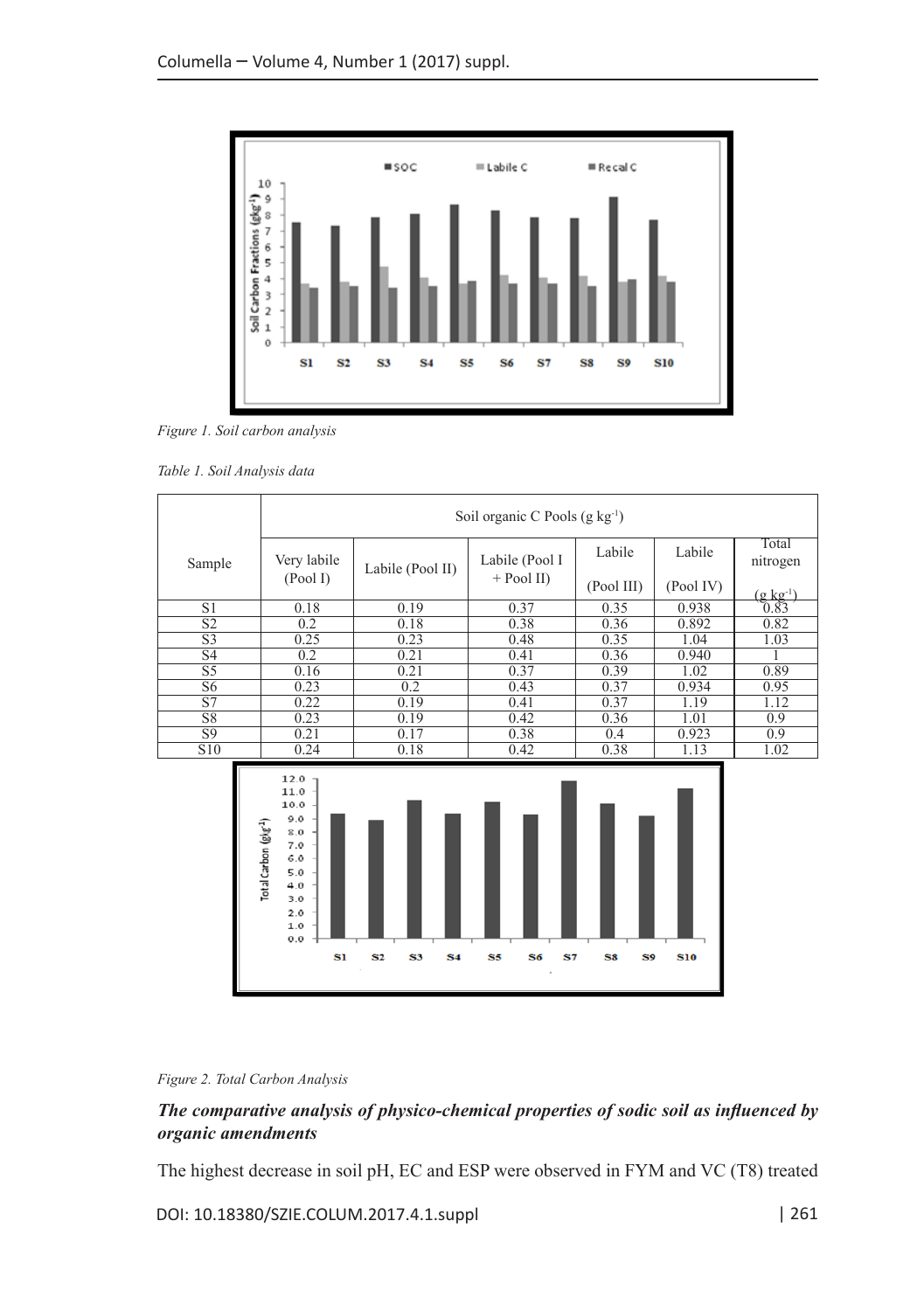

*Figure 1. Soil carbon analysis*

| Table 1. Soil Analysis data |  |  |  |
|-----------------------------|--|--|--|
|                             |  |  |  |

|                 | Soil organic C Pools $(g \ kg^{-1})$                                                                                              |                              |                |            |            |                            |
|-----------------|-----------------------------------------------------------------------------------------------------------------------------------|------------------------------|----------------|------------|------------|----------------------------|
| Sample          | Very labile                                                                                                                       | Labile (Pool II)             | Labile (Pool I | Labile     | Labile     | Total<br>nitrogen          |
|                 | (Pool I)                                                                                                                          |                              | $+$ Pool II)   | (Pool III) | (Pool IV)  |                            |
| S1              | 0.18                                                                                                                              | 0.19                         | 0.37           | 0.35       | 0.938      | $(\frac{g kg^{-1}}{0.83})$ |
| $\overline{S2}$ | 0.2                                                                                                                               | 0.18                         | 0.38           | 0.36       | 0.892      | 0.82                       |
| S <sub>3</sub>  | 0.25                                                                                                                              | 0.23                         | 0.48           | 0.35       | 1.04       | 1.03                       |
| S <sub>4</sub>  | 0.2                                                                                                                               | 0.21                         | 0.41           | 0.36       | 0.940      |                            |
| $\overline{S5}$ | 0.16                                                                                                                              | 0.21                         | 0.37           | 0.39       | 1.02       | 0.89                       |
| S6              | 0.23                                                                                                                              | 0.2                          | 0.43           | 0.37       | 0.934      | 0.95                       |
| $\overline{S7}$ | 0.22                                                                                                                              | 0.19                         | 0.41           | 0.37       | 1.19       | 1.12                       |
| <b>S8</b>       | 0.23                                                                                                                              | 0.19                         | 0.42           | 0.36       | 1.01       | 0.9                        |
| S <sub>9</sub>  | 0.21                                                                                                                              | 0.17                         | 0.38           | 0.4        | 0.923      | 0.9                        |
| S10             | 0.24                                                                                                                              | 0.18                         | 0.42           | 0.38       | 1.13       | 1.02                       |
|                 | 12.0<br>11.0<br>10.0<br>9.0<br>Total Carbon (g)g <sup>-1</sup> )<br>8.0<br>7.0<br>6.0<br>5.0<br>4.0<br>3.0<br>2.0<br>$1.0$<br>0.0 |                              |                |            |            |                            |
|                 | S1                                                                                                                                | S <sub>4</sub><br>$S2$<br>S3 | S5<br>S6<br>S7 | S9<br>$S$  | <b>S10</b> |                            |
|                 |                                                                                                                                   |                              |                |            |            |                            |

*Figure 2. Total Carbon Analysis*

# *The comparative analysis of physico-chemical properties of sodic soil as influenced by organic amendments*

The highest decrease in soil pH, EC and ESP were observed in FYM and VC (T8) treated

DOI: 10.18380/SZIE.COLUM.2017.4.1.suppl | 261 | 261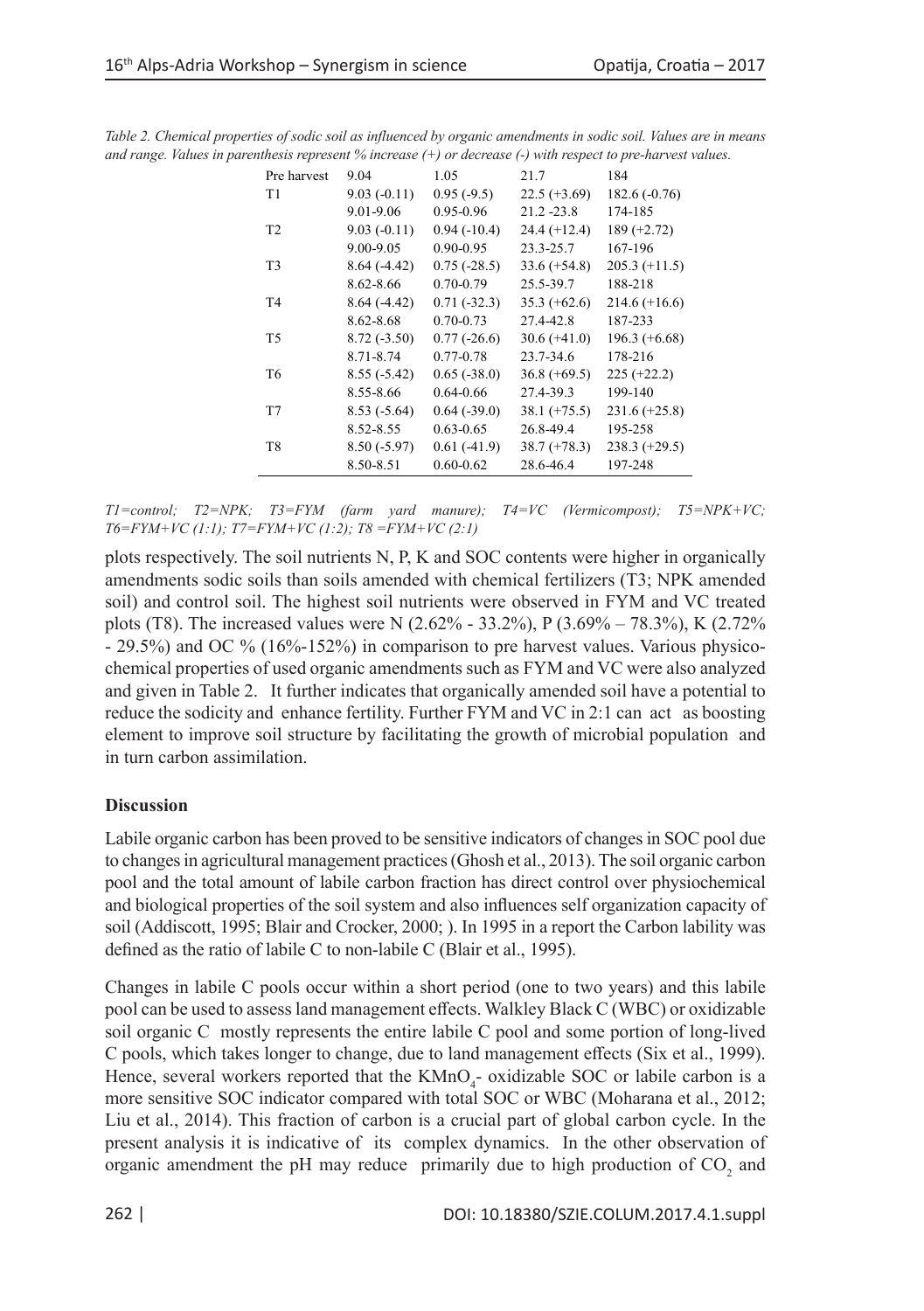| $9.03(-0.11)$<br>$0.95(-9.5)$<br>$182.6(-0.76)$<br>T1<br>$22.5 (+3.69)$<br>9.01-9.06<br>0.95-0.96<br>$21.2 - 23.8$<br>174-185<br>T <sub>2</sub><br>$9.03(-0.11)$<br>$0.94(-10.4)$<br>$24.4 (+12.4)$<br>$189 (+2.72)$<br>9.00-9.05<br>$0.90 - 0.95$<br>167-196<br>23.3-25.7<br>T <sub>3</sub><br>$205.3 (+11.5)$<br>$8.64(-4.42)$<br>$0.75(-28.5)$<br>$33.6 (+54.8)$<br>8.62-8.66<br>188-218<br>$0.70 - 0.79$<br>25.5-39.7<br>T4<br>$8.64(-4.42)$<br>$0.71(-32.3)$<br>$35.3 (+62.6)$<br>$214.6 (+16.6)$<br>$8.62 - 8.68$<br>$0.70 - 0.73$<br>27.4-42.8<br>187-233<br>T <sub>5</sub><br>$8.72(-3.50)$<br>$0.77(-26.6)$<br>$30.6 (+41.0)$<br>$196.3 (+6.68)$<br>178-216<br>8.71-8.74<br>$0.77 - 0.78$<br>23.7-34.6<br>T6<br>$0.65(-38.0)$<br>$36.8 (+69.5)$<br>$225 (+22.2)$<br>$8.55(-5.42)$<br>8.55-8.66<br>0.64-0.66<br>27.4-39.3<br>199-140<br>T7<br>$8.53(-5.64)$<br>$0.64(-39.0)$<br>$38.1 (+75.5)$<br>$231.6 (+25.8)$<br>195-258<br>8.52-8.55<br>$0.63 - 0.65$<br>26.8-49.4<br>T <sub>8</sub><br>$8.50(-5.97)$<br>$238.3 (+29.5)$<br>$0.61(-41.9)$<br>$38.7 (+78.3)$<br>197-248<br>8.50-8.51<br>$0.60 - 0.62$<br>28.6-46.4 | Pre harvest | 9.04 | 1.05 | 21.7 | 184 |
|--------------------------------------------------------------------------------------------------------------------------------------------------------------------------------------------------------------------------------------------------------------------------------------------------------------------------------------------------------------------------------------------------------------------------------------------------------------------------------------------------------------------------------------------------------------------------------------------------------------------------------------------------------------------------------------------------------------------------------------------------------------------------------------------------------------------------------------------------------------------------------------------------------------------------------------------------------------------------------------------------------------------------------------------------------------------------------------------------------------------------------|-------------|------|------|------|-----|
|                                                                                                                                                                                                                                                                                                                                                                                                                                                                                                                                                                                                                                                                                                                                                                                                                                                                                                                                                                                                                                                                                                                                |             |      |      |      |     |
|                                                                                                                                                                                                                                                                                                                                                                                                                                                                                                                                                                                                                                                                                                                                                                                                                                                                                                                                                                                                                                                                                                                                |             |      |      |      |     |
|                                                                                                                                                                                                                                                                                                                                                                                                                                                                                                                                                                                                                                                                                                                                                                                                                                                                                                                                                                                                                                                                                                                                |             |      |      |      |     |
|                                                                                                                                                                                                                                                                                                                                                                                                                                                                                                                                                                                                                                                                                                                                                                                                                                                                                                                                                                                                                                                                                                                                |             |      |      |      |     |
|                                                                                                                                                                                                                                                                                                                                                                                                                                                                                                                                                                                                                                                                                                                                                                                                                                                                                                                                                                                                                                                                                                                                |             |      |      |      |     |
|                                                                                                                                                                                                                                                                                                                                                                                                                                                                                                                                                                                                                                                                                                                                                                                                                                                                                                                                                                                                                                                                                                                                |             |      |      |      |     |
|                                                                                                                                                                                                                                                                                                                                                                                                                                                                                                                                                                                                                                                                                                                                                                                                                                                                                                                                                                                                                                                                                                                                |             |      |      |      |     |
|                                                                                                                                                                                                                                                                                                                                                                                                                                                                                                                                                                                                                                                                                                                                                                                                                                                                                                                                                                                                                                                                                                                                |             |      |      |      |     |
|                                                                                                                                                                                                                                                                                                                                                                                                                                                                                                                                                                                                                                                                                                                                                                                                                                                                                                                                                                                                                                                                                                                                |             |      |      |      |     |
|                                                                                                                                                                                                                                                                                                                                                                                                                                                                                                                                                                                                                                                                                                                                                                                                                                                                                                                                                                                                                                                                                                                                |             |      |      |      |     |
|                                                                                                                                                                                                                                                                                                                                                                                                                                                                                                                                                                                                                                                                                                                                                                                                                                                                                                                                                                                                                                                                                                                                |             |      |      |      |     |
|                                                                                                                                                                                                                                                                                                                                                                                                                                                                                                                                                                                                                                                                                                                                                                                                                                                                                                                                                                                                                                                                                                                                |             |      |      |      |     |
|                                                                                                                                                                                                                                                                                                                                                                                                                                                                                                                                                                                                                                                                                                                                                                                                                                                                                                                                                                                                                                                                                                                                |             |      |      |      |     |
|                                                                                                                                                                                                                                                                                                                                                                                                                                                                                                                                                                                                                                                                                                                                                                                                                                                                                                                                                                                                                                                                                                                                |             |      |      |      |     |
|                                                                                                                                                                                                                                                                                                                                                                                                                                                                                                                                                                                                                                                                                                                                                                                                                                                                                                                                                                                                                                                                                                                                |             |      |      |      |     |
|                                                                                                                                                                                                                                                                                                                                                                                                                                                                                                                                                                                                                                                                                                                                                                                                                                                                                                                                                                                                                                                                                                                                |             |      |      |      |     |

and range. Values in parenthesis represent % increase (+) or decrease (-) with respect to pre-harvest values. *Table 2. Chemical properties of sodic soil as influenced by organic amendments in sodic soil. Values are in means* 

*T1=control; T2=NPK; T3=FYM (farm yard manure); T4=VC (Vermicompost); T5=NPK+VC; T6=FYM+VC (1:1); T7=FYM+VC (1:2); T8 =FYM+VC (2:1)*

plots respectively. The soil nutrients N, P, K and SOC contents were higher in organically amendments sodic soils than soils amended with chemical fertilizers (T3; NPK amended soil) and control soil. The highest soil nutrients were observed in FYM and VC treated plots (T8). The increased values were N (2.62% - 33.2%), P (3.69% – 78.3%), K (2.72% - 29.5%) and OC % (16%-152%) in comparison to pre harvest values. Various physicochemical properties of used organic amendments such as FYM and VC were also analyzed and given in Table 2. It further indicates that organically amended soil have a potential to reduce the sodicity and enhance fertility. Further FYM and VC in 2:1 can act as boosting element to improve soil structure by facilitating the growth of microbial population and in turn carbon assimilation.

### **Discussion**

Labile organic carbon has been proved to be sensitive indicators of changes in SOC pool due to changes in agricultural management practices (Ghosh et al., 2013). The soil organic carbon pool and the total amount of labile carbon fraction has direct control over physiochemical and biological properties of the soil system and also influences self organization capacity of soil (Addiscott, 1995; Blair and Crocker, 2000; ). In 1995 in a report the Carbon lability was defined as the ratio of labile C to non-labile C (Blair et al., 1995).

Changes in labile C pools occur within a short period (one to two years) and this labile pool can be used to assess land management effects. Walkley Black C (WBC) or oxidizable soil organic C mostly represents the entire labile C pool and some portion of long-lived C pools, which takes longer to change, due to land management effects (Six et al., 1999). Hence, several workers reported that the  $KMnO<sub>4</sub>$ - oxidizable SOC or labile carbon is a more sensitive SOC indicator compared with total SOC or WBC (Moharana et al., 2012; Liu et al., 2014). This fraction of carbon is a crucial part of global carbon cycle. In the present analysis it is indicative of its complex dynamics. In the other observation of organic amendment the pH may reduce primarily due to high production of  $CO_2$  and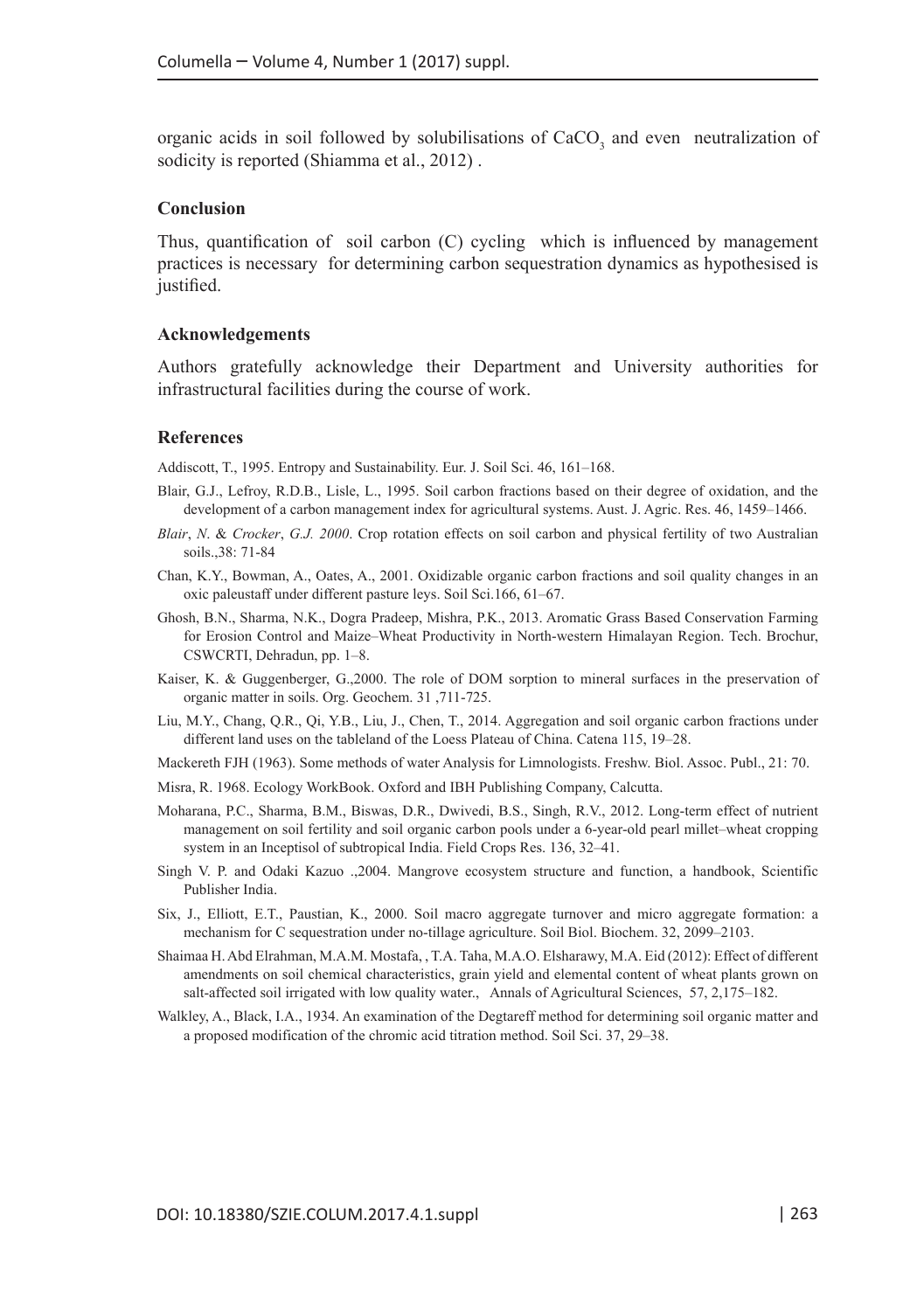organic acids in soil followed by solubilisations of  $CaCO<sub>3</sub>$  and even neutralization of sodicity is reported (Shiamma et al., 2012) .

#### **Conclusion**

Thus, quantification of soil carbon (C) cycling which is influenced by management practices is necessary for determining carbon sequestration dynamics as hypothesised is justified.

#### **Acknowledgements**

Authors gratefully acknowledge their Department and University authorities for infrastructural facilities during the course of work.

#### **References**

Addiscott, T., 1995. Entropy and Sustainability. Eur. J. Soil Sci. 46, 161–168.

- Blair, G.J., Lefroy, R.D.B., Lisle, L., 1995. Soil carbon fractions based on their degree of oxidation, and the development of a carbon management index for agricultural systems. Aust. J. Agric. Res. 46, 1459–1466.
- *Blair*, *N*. & *Crocker*, *G.J. 2000*. Crop rotation effects on soil carbon and physical fertility of two Australian soils.,38: 71-84
- Chan, K.Y., Bowman, A., Oates, A., 2001. Oxidizable organic carbon fractions and soil quality changes in an oxic paleustaff under different pasture leys. Soil Sci.166, 61–67.
- Ghosh, B.N., Sharma, N.K., Dogra Pradeep, Mishra, P.K., 2013. Aromatic Grass Based Conservation Farming for Erosion Control and Maize–Wheat Productivity in North-western Himalayan Region. Tech. Brochur, CSWCRTI, Dehradun, pp. 1–8.
- Kaiser, K. & Guggenberger, G.,2000. The role of DOM sorption to mineral surfaces in the preservation of organic matter in soils. Org. Geochem. 31 ,711-725.
- Liu, M.Y., Chang, Q.R., Qi, Y.B., Liu, J., Chen, T., 2014. Aggregation and soil organic carbon fractions under different land uses on the tableland of the Loess Plateau of China. Catena 115, 19–28.
- Mackereth FJH (1963). Some methods of water Analysis for Limnologists. Freshw. Biol. Assoc. Publ., 21: 70.
- Misra, R. 1968. Ecology WorkBook. Oxford and IBH Publishing Company, Calcutta.
- Moharana, P.C., Sharma, B.M., Biswas, D.R., Dwivedi, B.S., Singh, R.V., 2012. Long-term effect of nutrient management on soil fertility and soil organic carbon pools under a 6-year-old pearl millet–wheat cropping system in an Inceptisol of subtropical India. Field Crops Res. 136, 32–41.
- Singh V. P. and Odaki Kazuo .,2004. Mangrove ecosystem structure and function, a handbook, Scientific Publisher India.
- Six, J., Elliott, E.T., Paustian, K., 2000. Soil macro aggregate turnover and micro aggregate formation: a mechanism for C sequestration under no-tillage agriculture. Soil Biol. Biochem. 32, 2099–2103.
- [Shaimaa H. Abd Elrahman](http://www.sciencedirect.com/science/article/pii/S0570178312000346), [M.A.M. Mostafa](http://www.sciencedirect.com/science/article/pii/S0570178312000346), , [T.A. Taha,](http://www.sciencedirect.com/science/article/pii/S0570178312000346) [M.A.O. Elsharawy,](http://www.sciencedirect.com/science/article/pii/S0570178312000346) [M.A. Eid](http://www.sciencedirect.com/science/article/pii/S0570178312000346) (2012): Effect of different amendments on soil chemical characteristics, grain yield and elemental content of wheat plants grown on salt-affected soil irrigated with low quality water., [Annals of Agricultural Sciences,](http://www.sciencedirect.com/science/journal/05701783) [57, 2,](http://www.sciencedirect.com/science/journal/05701783/57/2)175–182.
- Walkley, A., Black, I.A., 1934. An examination of the Degtareff method for determining soil organic matter and a proposed modification of the chromic acid titration method. Soil Sci. 37, 29–38.